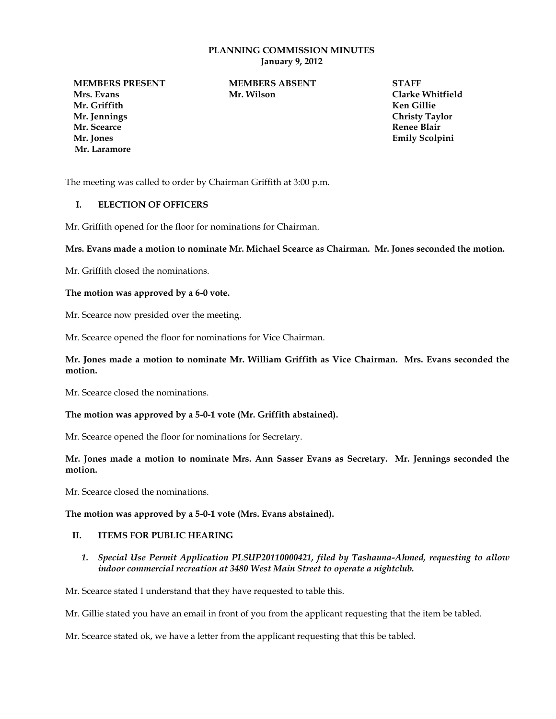### **PLANNING COMMISSION MINUTES January 9, 2012**

**Mr. Griffith Ken Gillie Mr. Jennings Christy Taylor Mr. Scearce Renee Blair Mr. Jones Emily Scolpini Mr. Laramore**

**MEMBERS PRESENT MEMBERS ABSENT STAFF Mrs. Evans Mr. Wilson Clarke Whitfield** 

The meeting was called to order by Chairman Griffith at 3:00 p.m.

# **I. ELECTION OF OFFICERS**

Mr. Griffith opened for the floor for nominations for Chairman.

### **Mrs. Evans made a motion to nominate Mr. Michael Scearce as Chairman. Mr. Jones seconded the motion.**

Mr. Griffith closed the nominations.

#### **The motion was approved by a 6-0 vote.**

Mr. Scearce now presided over the meeting.

Mr. Scearce opened the floor for nominations for Vice Chairman.

### **Mr. Jones made a motion to nominate Mr. William Griffith as Vice Chairman. Mrs. Evans seconded the motion.**

Mr. Scearce closed the nominations.

### **The motion was approved by a 5-0-1 vote (Mr. Griffith abstained).**

Mr. Scearce opened the floor for nominations for Secretary.

## **Mr. Jones made a motion to nominate Mrs. Ann Sasser Evans as Secretary. Mr. Jennings seconded the motion.**

Mr. Scearce closed the nominations.

### **The motion was approved by a 5-0-1 vote (Mrs. Evans abstained).**

## **II. ITEMS FOR PUBLIC HEARING**

*1. Special Use Permit Application PLSUP20110000421, filed by Tashauna-Ahmed, requesting to allow indoor commercial recreation at 3480 West Main Street to operate a nightclub.*

Mr. Scearce stated I understand that they have requested to table this.

Mr. Gillie stated you have an email in front of you from the applicant requesting that the item be tabled.

Mr. Scearce stated ok, we have a letter from the applicant requesting that this be tabled.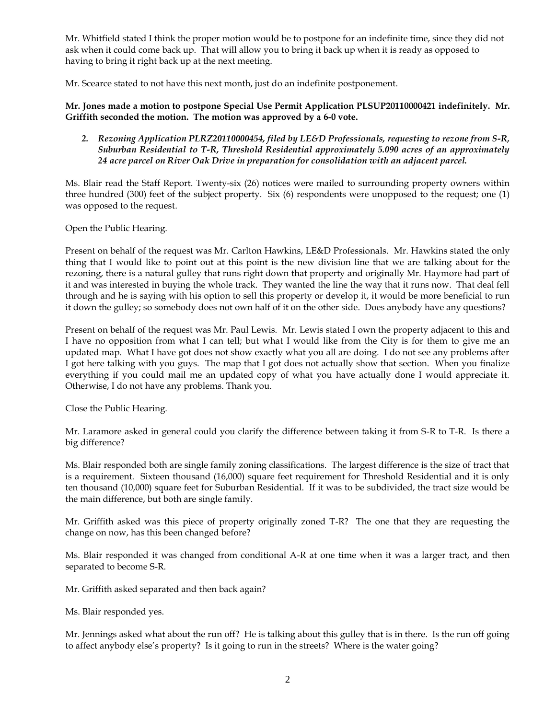Mr. Whitfield stated I think the proper motion would be to postpone for an indefinite time, since they did not ask when it could come back up. That will allow you to bring it back up when it is ready as opposed to having to bring it right back up at the next meeting.

Mr. Scearce stated to not have this next month, just do an indefinite postponement.

# **Mr. Jones made a motion to postpone Special Use Permit Application PLSUP20110000421 indefinitely. Mr. Griffith seconded the motion. The motion was approved by a 6-0 vote.**

*2. Rezoning Application PLRZ20110000454, filed by LE&D Professionals, requesting to rezone from S-R, Suburban Residential to T-R, Threshold Residential approximately 5.090 acres of an approximately 24 acre parcel on River Oak Drive in preparation for consolidation with an adjacent parcel.*

Ms. Blair read the Staff Report. Twenty-six (26) notices were mailed to surrounding property owners within three hundred (300) feet of the subject property. Six (6) respondents were unopposed to the request; one (1) was opposed to the request.

Open the Public Hearing.

Present on behalf of the request was Mr. Carlton Hawkins, LE&D Professionals. Mr. Hawkins stated the only thing that I would like to point out at this point is the new division line that we are talking about for the rezoning, there is a natural gulley that runs right down that property and originally Mr. Haymore had part of it and was interested in buying the whole track. They wanted the line the way that it runs now. That deal fell through and he is saying with his option to sell this property or develop it, it would be more beneficial to run it down the gulley; so somebody does not own half of it on the other side. Does anybody have any questions?

Present on behalf of the request was Mr. Paul Lewis. Mr. Lewis stated I own the property adjacent to this and I have no opposition from what I can tell; but what I would like from the City is for them to give me an updated map. What I have got does not show exactly what you all are doing. I do not see any problems after I got here talking with you guys. The map that I got does not actually show that section. When you finalize everything if you could mail me an updated copy of what you have actually done I would appreciate it. Otherwise, I do not have any problems. Thank you.

Close the Public Hearing.

Mr. Laramore asked in general could you clarify the difference between taking it from S-R to T-R. Is there a big difference?

Ms. Blair responded both are single family zoning classifications. The largest difference is the size of tract that is a requirement. Sixteen thousand (16,000) square feet requirement for Threshold Residential and it is only ten thousand (10,000) square feet for Suburban Residential. If it was to be subdivided, the tract size would be the main difference, but both are single family.

Mr. Griffith asked was this piece of property originally zoned T-R? The one that they are requesting the change on now, has this been changed before?

Ms. Blair responded it was changed from conditional A-R at one time when it was a larger tract, and then separated to become S-R.

Mr. Griffith asked separated and then back again?

Ms. Blair responded yes.

Mr. Jennings asked what about the run off? He is talking about this gulley that is in there. Is the run off going to affect anybody else's property? Is it going to run in the streets? Where is the water going?